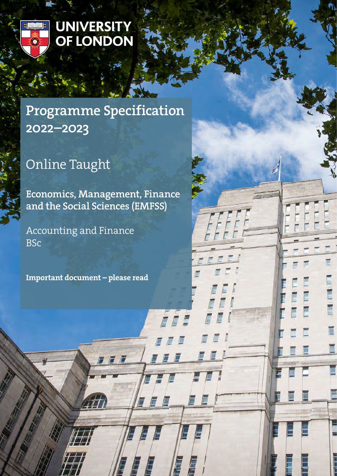

# UNIVERSITY<br>OF LONDON

## Programme Specification 2022–2023

# Online Taught

Economics, Management, Finance and the Social Sciences (EMFSS)

7 F F

E

E

É

Accounting and Finance BSc

Important document – please read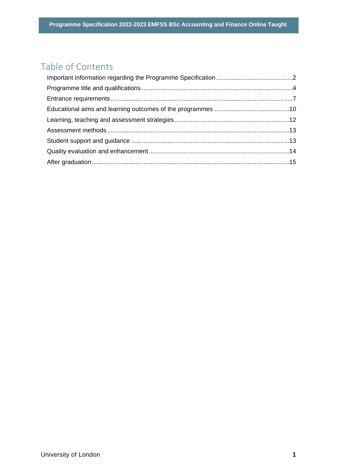### Table of Contents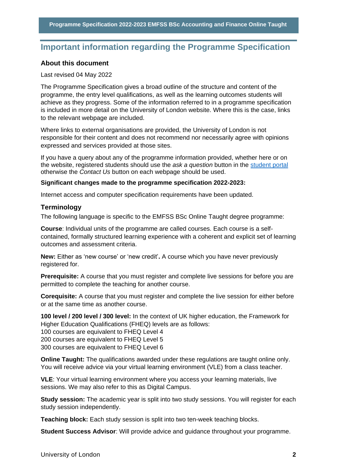## <span id="page-2-0"></span>**Important information regarding the Programme Specification**

#### **About this document**

#### Last revised 04 May 2022

The Programme Specification gives a broad outline of the structure and content of the programme, the entry level qualifications, as well as the learning outcomes students will achieve as they progress. Some of the information referred to in a programme specification is included in more detail on the University of London website. Where this is the case, links to the relevant webpage are included.

Where links to external organisations are provided, the University of London is not responsible for their content and does not recommend nor necessarily agree with opinions expressed and services provided at those sites.

If you have a query about any of the programme information provided, whether here or on the website, registered students should use the *ask a question* button in the [student portal](https://my.london.ac.uk/) otherwise the *Contact Us* button on each webpage should be used.

#### **Significant changes made to the programme specification 2022-2023:**

Internet access and computer specification requirements have been updated.

#### **Terminology**

The following language is specific to the EMFSS BSc Online Taught degree programme:

**Course**: Individual units of the programme are called courses. Each course is a selfcontained, formally structured learning experience with a coherent and explicit set of learning outcomes and assessment criteria.

**New:** Either as 'new course' or 'new credit'**.** A course which you have never previously registered for.

**Prerequisite:** A course that you must register and complete live sessions for before you are permitted to complete the teaching for another course.

**Corequisite:** A course that you must register and complete the live session for either before or at the same time as another course.

**100 level / 200 level / 300 level:** In the context of UK higher education, the Framework for Higher Education Qualifications (FHEQ) levels are as follows:

100 courses are equivalent to FHEQ Level 4

200 courses are equivalent to FHEQ Level 5

300 courses are equivalent to FHEQ Level 6

**Online Taught:** The qualifications awarded under these regulations are taught online only. You will receive advice via your virtual learning environment (VLE) from a class teacher.

**VLE**: Your virtual learning environment where you access your learning materials, live sessions. We may also refer to this as Digital Campus.

**Study session:** The academic year is split into two study sessions. You will register for each study session independently.

**Teaching block:** Each study session is split into two ten-week teaching blocks.

**Student Success Advisor**: Will provide advice and guidance throughout your programme.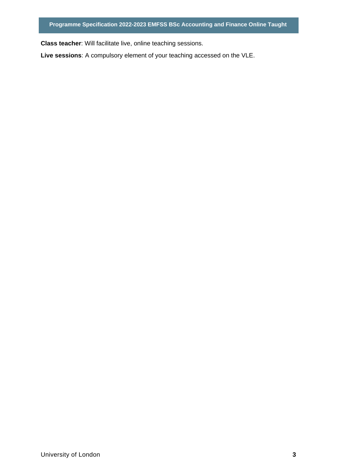**P Class teacher**: Will facilitate live, online teaching sessions.

**Live sessions**: A compulsory element of your teaching accessed on the VLE.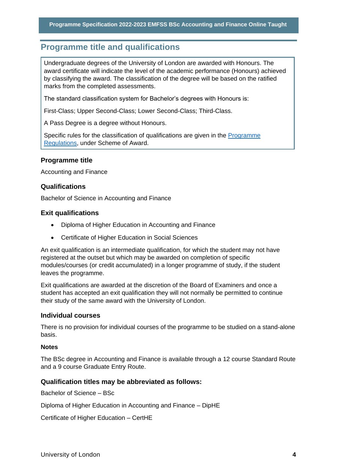## <span id="page-4-0"></span>**P Programme title and qualifications**

Undergraduate degrees of the University of London are awarded with Honours. The award certificate will indicate the level of the academic performance (Honours) achieved by classifying the award. The classification of the degree will be based on the ratified marks from the completed assessments.

The standard classification system for Bachelor's degrees with Honours is:

First-Class; Upper Second-Class; Lower Second-Class; Third-Class.

A Pass Degree is a degree without Honours.

Specific rules for the classification of qualifications are given in the [Programme](https://london.ac.uk/current-students/programme-documents/regulations)  [Regulations,](https://london.ac.uk/current-students/programme-documents/regulations) under Scheme of Award.

#### **Programme title**

Accounting and Finance

#### **Qualifications**

Bachelor of Science in Accounting and Finance

#### **Exit qualifications**

- Diploma of Higher Education in Accounting and Finance
- Certificate of Higher Education in Social Sciences

An exit qualification is an intermediate qualification, for which the student may not have registered at the outset but which may be awarded on completion of specific modules/courses (or credit accumulated) in a longer programme of study, if the student leaves the programme.

Exit qualifications are awarded at the discretion of the Board of Examiners and once a student has accepted an exit qualification they will not normally be permitted to continue their study of the same award with the University of London.

#### **Individual courses**

There is no provision for individual courses of the programme to be studied on a stand-alone basis.

#### **Notes**

The BSc degree in Accounting and Finance is available through a 12 course Standard Route and a 9 course Graduate Entry Route.

#### **Qualification titles may be abbreviated as follows:**

Bachelor of Science – BSc

Diploma of Higher Education in Accounting and Finance – DipHE

Certificate of Higher Education – CertHE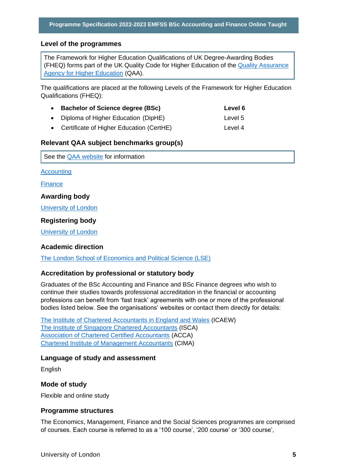#### **P Level of the programmes**

The Framework for Higher Education Qualifications of UK Degree-Awarding Bodies (FHEQ) forms part of the UK Quality Code for Higher Education of the [Quality Assurance](http://www.qaa.ac.uk/en)  [Agency for Higher Education](http://www.qaa.ac.uk/en) (QAA).

The qualifications are placed at the following Levels of the Framework for Higher Education Qualifications (FHEQ):

| • Bachelor of Science degree (BSc)         | Level 6 |
|--------------------------------------------|---------|
| • Diploma of Higher Education (DipHE)      | Level 5 |
| • Certificate of Higher Education (CertHE) | Level 4 |

#### **Relevant QAA subject benchmarks group(s)**

See the [QAA website](http://www.qaa.ac.uk/) for information

**[Accounting](https://www.qaa.ac.uk/docs/qaa/subject-benchmark-statements/subject-benchmark-statement-accounting.pdf?sfvrsn=da39c881_7)** 

**[Finance](https://www.qaa.ac.uk/docs/qaa/subject-benchmark-statements/subject-benchmark-statement-finance.pdf?sfvrsn=f8f3c881_7)** 

**Awarding body**

[University of London](http://www.london.ac.uk/)

#### **Registering body**

[University of London](http://www.london.ac.uk/)

#### **Academic direction**

[The London School of Economics and Political Science \(LSE\)](http://www.lse.ac.uk/home.aspx) 

#### **Accreditation by professional or statutory body**

Graduates of the BSc Accounting and Finance and BSc Finance degrees who wish to continue their studies towards professional accreditation in the financial or accounting professions can benefit from 'fast track' agreements with one or more of the professional bodies listed below. See the organisations' websites or contact them directly for details:

[The Institute of Chartered Accountants in England and Wales](http://careers.icaew.com/) (ICAEW) [The Institute of Singapore Chartered Accountants](http://isca.org.sg/) (ISCA) [Association of Chartered Certified Accountants](http://www.accaglobal.com/uk/en.html) (ACCA) [Chartered Institute of Management Accountants](http://www.cimaglobal.com/) (CIMA)

#### **Language of study and assessment**

English

#### **Mode of study**

Flexible and online study

#### **Programme structures**

The Economics, Management, Finance and the Social Sciences programmes are comprised of courses. Each course is referred to as a '100 course', '200 course' or '300 course',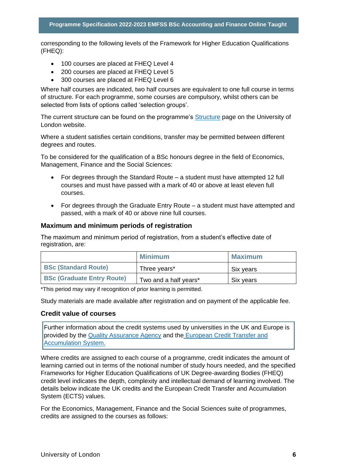corresponding to the following levels of the Framework for Higher Education Qualifications (FHEQ):

- 100 courses are placed at FHEQ Level 4
- 200 courses are placed at FHEQ Level 5
- 300 courses are placed at FHEQ Level 6

Where half courses are indicated, two half courses are equivalent to one full course in terms of structure. For each programme, some courses are compulsory, whilst others can be selected from lists of options called 'selection groups'.

The current structure can be found on the programme's [Structure](https://onlinecourses.london.ac.uk/undergraduate/accounting-finance-degrees/accounting-finance/) page on the University of London website.

Where a student satisfies certain conditions, transfer may be permitted between different degrees and routes.

To be considered for the qualification of a BSc honours degree in the field of Economics, Management, Finance and the Social Sciences:

- For degrees through the Standard Route a student must have attempted 12 full courses and must have passed with a mark of 40 or above at least eleven full courses.
- For degrees through the Graduate Entry Route a student must have attempted and passed, with a mark of 40 or above nine full courses.

#### **Maximum and minimum periods of registration**

The maximum and minimum period of registration, from a student's effective date of registration, are:

|                                   | <b>Minimum</b>        | <b>Maximum</b> |
|-----------------------------------|-----------------------|----------------|
| <b>BSc (Standard Route)</b>       | Three years*          | Six years      |
| <b>BSc (Graduate Entry Route)</b> | Two and a half years* | Six years      |

\*This period may vary if recognition of prior learning is permitted.

Study materials are made available after registration and on payment of the applicable fee.

#### **Credit value of courses**

Further information about the credit systems used by universities in the UK and Europe is provided by the [Quality Assurance Agency](http://www.qaa.ac.uk/en) and the [European Credit Transfer and](http://ec.europa.eu/education/resources/european-credit-transfer-accumulation-system_en.htm)  [Accumulation System.](http://ec.europa.eu/education/resources/european-credit-transfer-accumulation-system_en.htm)

Where credits are assigned to each course of a programme, credit indicates the amount of learning carried out in terms of the notional number of study hours needed, and the specified Frameworks for Higher Education Qualifications of UK Degree-awarding Bodies (FHEQ) credit level indicates the depth, complexity and intellectual demand of learning involved. The details below indicate the UK credits and the European Credit Transfer and Accumulation System (ECTS) values.

For the Economics, Management, Finance and the Social Sciences suite of programmes, credits are assigned to the courses as follows: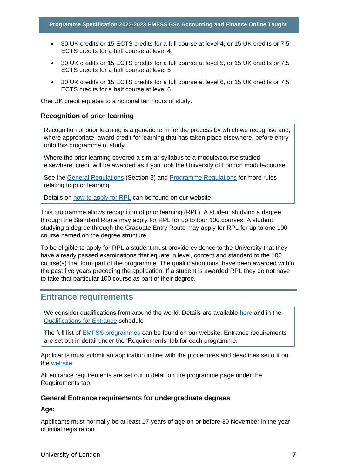- 30 UK credits or 15 ECTS credits for a full course at level 4, or 15 UK credits or 7.5 ECTS credits for a half course at level 4
- 30 UK credits or 15 ECTS credits for a full course at level 5, or 15 UK credits or 7.5 ECTS credits for a half course at level 5
- 30 UK credits or 15 ECTS credits for a full course at level 6, or 15 UK credits or 7.5 ECTS credits for a half course at level 6

One UK credit equates to a notional ten hours of study.

#### **Recognition of prior learning**

Recognition of prior learning is a generic term for the process by which we recognise and, where appropriate, award credit for learning that has taken place elsewhere, before entry onto this programme of study.

Where the prior learning covered a similar syllabus to a module/course studied elsewhere, credit will be awarded as if you took the University of London module/course.

See the [General Regulations](https://london.ac.uk/current-students/programme-documents/regulations) (Section 3) and [Programme Regulations](https://london.ac.uk/current-studentsprogramme-documents/regulations) for more rules relating to prior learning.

Details on [how to apply for RPL](https://london.ac.uk/applications/how-apply/recognition-prior-learning/recognition-and-accreditation-prior-learning-0) can be found on our website

This programme allows recognition of prior learning (RPL). A student studying a degree through the Standard Route may apply for RPL for up to four 100 courses. A student studying a degree through the Graduate Entry Route may apply for RPL for up to one 100 course named on the degree structure.

To be eligible to apply for RPL a student must provide evidence to the University that they have already passed examinations that equate in level, content and standard to the 100 course(s) that form part of the programme. The qualification must have been awarded within the past five years preceding the application. If a student is awarded RPL they do not have to take that particular 100 course as part of their degree.

#### <span id="page-7-0"></span>**Entrance requirements**

We consider qualifications from around the world. Details are available [here](https://london.ac.uk/applications/how-apply/am-i-qualified) and in the [Qualifications for Entrance](https://london.ac.uk/entrance-qualifications) schedule

The full list of [EMFSS programmes](https://london.ac.uk/lse#apply-now) can be found on our website. Entrance requirements are set out in detail under the 'Requirements' tab for each programme.

Applicants must submit an application in line with the procedures and deadlines set out on the [website.](https://london.ac.uk/applications/how-apply)

All entrance requirements are set out in detail on the programme page under the Requirements tab.

#### **General Entrance requirements for undergraduate degrees**

**Age:** 

Applicants must normally be at least 17 years of age on or before 30 November in the year of initial registration.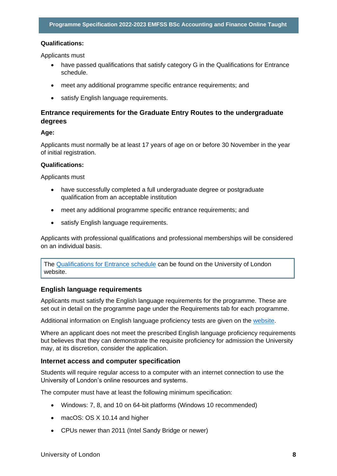#### **P Qualifications:**

Applicants must

- have passed qualifications that satisfy category G in the Qualifications for Entrance schedule.
- meet any additional programme specific entrance requirements; and
- satisfy English language requirements.

#### **Entrance requirements for the Graduate Entry Routes to the undergraduate degrees**

#### **Age:**

Applicants must normally be at least 17 years of age on or before 30 November in the year of initial registration.

#### **Qualifications:**

Applicants must

- have successfully completed a full undergraduate degree or postgraduate qualification from an acceptable institution
- meet any additional programme specific entrance requirements; and
- satisfy English language requirements.

Applicants with professional qualifications and professional memberships will be considered on an individual basis.

The [Qualifications for Entrance schedule](https://london.ac.uk/entrance-qualifications) can be found on the University of London website.

#### **English language requirements**

Applicants must satisfy the English language requirements for the programme. These are set out in detail on the programme page under the Requirements tab for each programme.

Additional information on English language proficiency tests are given on the [website.](https://london.ac.uk/applications/how-apply/english-requirements)

Where an applicant does not meet the prescribed English language proficiency requirements but believes that they can demonstrate the requisite proficiency for admission the University may, at its discretion, consider the application.

#### **Internet access and computer specification**

Students will require regular access to a computer with an internet connection to use the University of London's online resources and systems.

The computer must have at least the following minimum specification:

- Windows: 7, 8, and 10 on 64-bit platforms (Windows 10 recommended)
- macOS: OS X 10.14 and higher
- CPUs newer than 2011 (Intel Sandy Bridge or newer)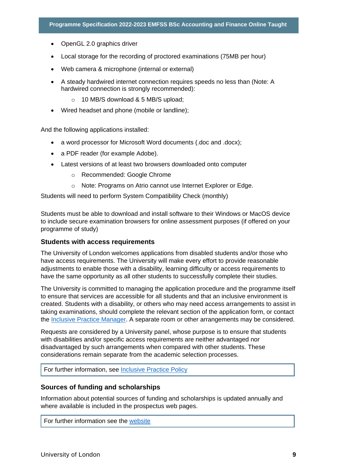- OpenGL 2.0 graphics driver
- Local storage for the recording of proctored examinations (75MB per hour)
- Web camera & microphone (internal or external)
- A steady hardwired internet connection requires speeds no less than (Note: A hardwired connection is strongly recommended):
	- o 10 MB/S download & 5 MB/S upload;
- Wired headset and phone (mobile or landline);

And the following applications installed:

- a word processor for Microsoft Word documents (.doc and .docx);
- a PDF reader (for example Adobe).
- Latest versions of at least two browsers downloaded onto computer
	- o Recommended: Google Chrome
	- o Note: Programs on Atrio cannot use Internet Explorer or Edge.

Students will need to perform System Compatibility Check (monthly)

Students must be able to download and install software to their Windows or MacOS device to include secure examination browsers for online assessment purposes (if offered on your programme of study)

#### **Students with access requirements**

The University of London welcomes applications from disabled students and/or those who have access requirements. The University will make every effort to provide reasonable adjustments to enable those with a disability, learning difficulty or access requirements to have the same opportunity as all other students to successfully complete their studies.

The University is committed to managing the application procedure and the programme itself to ensure that services are accessible for all students and that an inclusive environment is created. Students with a disability, or others who may need access arrangements to assist in taking examinations, should complete the relevant section of the application form, or contact the [Inclusive Practice Manager.](mailto:special.arrangements@london.ac.uk) A separate room or other arrangements may be considered.

Requests are considered by a University panel, whose purpose is to ensure that students with disabilities and/or specific access requirements are neither advantaged nor disadvantaged by such arrangements when compared with other students. These considerations remain separate from the academic selection processes.

For further information, see [Inclusive Practice Policy](https://london.ac.uk/applications/how-it-works/inclusive-practice-special-arrangements)

#### **Sources of funding and scholarships**

Information about potential sources of funding and scholarships is updated annually and where available is included in the prospectus web pages.

For further information see the [website](https://london.ac.uk/applications/funding-your-study)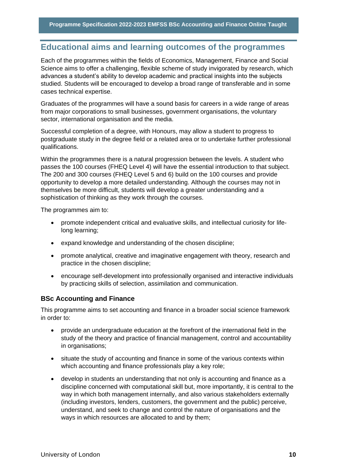## <span id="page-10-0"></span>**P Educational aims and learning outcomes of the programmes**

Each of the programmes within the fields of Economics, Management, Finance and Social Science aims to offer a challenging, flexible scheme of study invigorated by research, which advances a student's ability to develop academic and practical insights into the subjects studied. Students will be encouraged to develop a broad range of transferable and in some cases technical expertise.

Graduates of the programmes will have a sound basis for careers in a wide range of areas from major corporations to small businesses, government organisations, the voluntary sector, international organisation and the media.

Successful completion of a degree, with Honours, may allow a student to progress to postgraduate study in the degree field or a related area or to undertake further professional qualifications.

Within the programmes there is a natural progression between the levels. A student who passes the 100 courses (FHEQ Level 4) will have the essential introduction to that subject. The 200 and 300 courses (FHEQ Level 5 and 6) build on the 100 courses and provide opportunity to develop a more detailed understanding. Although the courses may not in themselves be more difficult, students will develop a greater understanding and a sophistication of thinking as they work through the courses.

The programmes aim to:

- promote independent critical and evaluative skills, and intellectual curiosity for lifelong learning;
- expand knowledge and understanding of the chosen discipline;
- promote analytical, creative and imaginative engagement with theory, research and practice in the chosen discipline;
- encourage self-development into professionally organised and interactive individuals by practicing skills of selection, assimilation and communication.

#### **BSc Accounting and Finance**

This programme aims to set accounting and finance in a broader social science framework in order to:

- provide an undergraduate education at the forefront of the international field in the study of the theory and practice of financial management, control and accountability in organisations;
- situate the study of accounting and finance in some of the various contexts within which accounting and finance professionals play a key role;
- develop in students an understanding that not only is accounting and finance as a discipline concerned with computational skill but, more importantly, it is central to the way in which both management internally, and also various stakeholders externally (including investors, lenders, customers, the government and the public) perceive, understand, and seek to change and control the nature of organisations and the ways in which resources are allocated to and by them;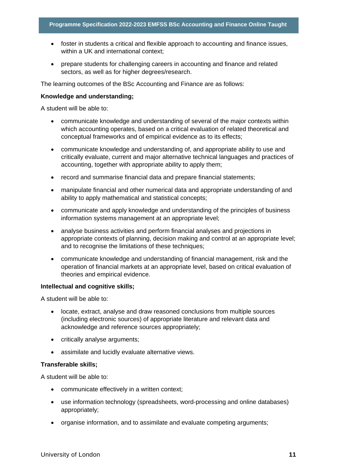- foster in students a critical and flexible approach to accounting and finance issues, within a UK and international context:
- prepare students for challenging careers in accounting and finance and related sectors, as well as for higher degrees/research.

The learning outcomes of the BSc Accounting and Finance are as follows:

#### **Knowledge and understanding;**

A student will be able to:

- communicate knowledge and understanding of several of the major contexts within which accounting operates, based on a critical evaluation of related theoretical and conceptual frameworks and of empirical evidence as to its effects;
- communicate knowledge and understanding of, and appropriate ability to use and critically evaluate, current and major alternative technical languages and practices of accounting, together with appropriate ability to apply them;
- record and summarise financial data and prepare financial statements;
- manipulate financial and other numerical data and appropriate understanding of and ability to apply mathematical and statistical concepts;
- communicate and apply knowledge and understanding of the principles of business information systems management at an appropriate level;
- analyse business activities and perform financial analyses and projections in appropriate contexts of planning, decision making and control at an appropriate level; and to recognise the limitations of these techniques;
- communicate knowledge and understanding of financial management, risk and the operation of financial markets at an appropriate level, based on critical evaluation of theories and empirical evidence.

#### **Intellectual and cognitive skills;**

A student will be able to:

- locate, extract, analyse and draw reasoned conclusions from multiple sources (including electronic sources) of appropriate literature and relevant data and acknowledge and reference sources appropriately;
- critically analyse arguments:
- assimilate and lucidly evaluate alternative views.

#### **Transferable skills;**

A student will be able to:

- communicate effectively in a written context;
- use information technology (spreadsheets, word-processing and online databases) appropriately;
- organise information, and to assimilate and evaluate competing arguments;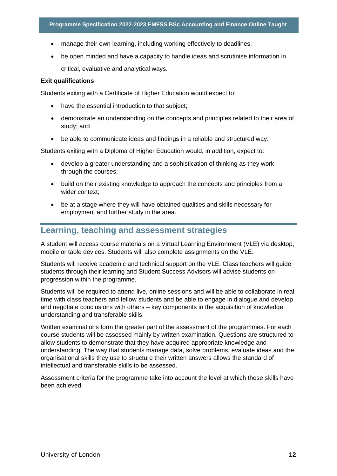- manage their own learning, including working effectively to deadlines;
- be open minded and have a capacity to handle ideas and scrutinise information in critical, evaluative and analytical ways.

#### **Exit qualifications**

Students exiting with a Certificate of Higher Education would expect to:

- have the essential introduction to that subject;
- demonstrate an understanding on the concepts and principles related to their area of study; and
- be able to communicate ideas and findings in a reliable and structured way.

Students exiting with a Diploma of Higher Education would, in addition, expect to:

- develop a greater understanding and a sophistication of thinking as they work through the courses;
- build on their existing knowledge to approach the concepts and principles from a wider context;
- be at a stage where they will have obtained qualities and skills necessary for employment and further study in the area.

#### <span id="page-12-0"></span>**Learning, teaching and assessment strategies**

A student will access course materials on a Virtual Learning Environment (VLE) via desktop, mobile or table devices. Students will also complete assignments on the VLE.

Students will receive academic and technical support on the VLE. Class teachers will guide students through their learning and Student Success Advisors will advise students on progression within the programme.

Students will be required to attend live, online sessions and will be able to collaborate in real time with class teachers and fellow students and be able to engage in dialogue and develop and negotiate conclusions with others – key components in the acquisition of knowledge, understanding and transferable skills.

Written examinations form the greater part of the assessment of the programmes. For each course students will be assessed mainly by written examination. Questions are structured to allow students to demonstrate that they have acquired appropriate knowledge and understanding. The way that students manage data, solve problems, evaluate ideas and the organisational skills they use to structure their written answers allows the standard of intellectual and transferable skills to be assessed.

Assessment criteria for the programme take into account the level at which these skills have been achieved.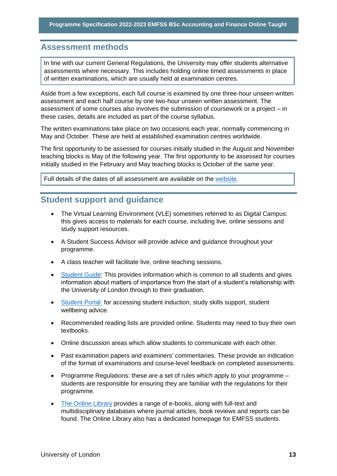## <span id="page-13-0"></span>**P Assessment methods**

In line with our current General Regulations, the University may offer students alternative assessments where necessary. This includes holding online timed assessments in place of written examinations, which are usually held at examination centres.

Aside from a few exceptions, each full course is examined by one three-hour unseen written assessment and each half course by one two-hour unseen written assessment. The assessment of some courses also involves the submission of coursework or a project – in these cases, details are included as part of the course syllabus.

The written examinations take place on two occasions each year, normally commencing in May and October. These are held at established examination centres worldwide.

The first opportunity to be assessed for courses initially studied in the August and November teaching blocks is May of the following year. The first opportunity to be assessed for courses initially studied in the February and May teaching blocks is October of the same year.

Full details of the dates of all assessment are available on the [website.](https://london.ac.uk/current-students/examinations/exam-timetables)

#### <span id="page-13-1"></span>**Student support and guidance**

- The Virtual Learning Environment (VLE) sometimes referred to as Digital Campus: this gives access to materials for each course, including live, online sessions and study support resources.
- A Student Success Advisor will provide advice and guidance throughout your programme.
- A class teacher will facilitate live, online teaching sessions.
- [Student Guide:](https://london.ac.uk/current-students/programme-documents/student-guide) This provides information which is common to all students and gives information about matters of importance from the start of a student's relationship with the University of London through to their graduation.
- [Student Portal:](file://///fileshare/NW-apps/Programme%20Information/Programme%20Specifications/PS%202020-21/2020-2021_Templates/my.london.ac.uk) for accessing student induction, study skills support, student wellbeing advice.
- Recommended reading lists are provided online. Students may need to buy their own textbooks.
- Online discussion areas which allow students to communicate with each other.
- Past examination papers and examiners' commentaries. These provide an indication of the format of examinations and course-level feedback on completed assessments.
- [Programme Regulations:](http://www.londoninternational.ac.uk/regs) these are a set of rules which apply to your programme students are responsible for ensuring they are familiar with the regulations for their programme.
- [The Online Library](http://onlinelibrary.london.ac.uk/) provides a range of e-books, along with full-text and multidisciplinary databases where journal articles, book reviews and reports can be found. The Online Library also has a dedicated homepage for EMFSS students.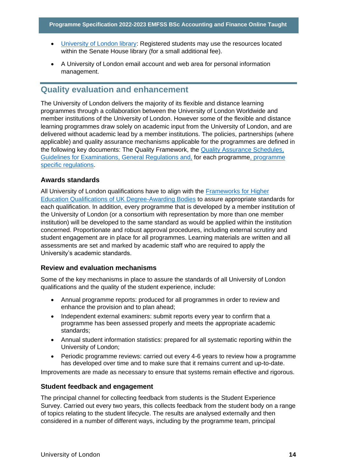- University of London library: Registered students may use the resources located within the Senate House library (for a small additional fee).
- A University of London email account and web area for personal information management.

#### <span id="page-14-0"></span>**Quality evaluation and enhancement**

The University of London delivers the majority of its flexible and distance learning programmes through a collaboration between the University of London Worldwide and member institutions of the University of London. However some of the flexible and distance learning programmes draw solely on academic input from the University of London, and are delivered without academic lead by a member institutions. The policies, partnerships (where applicable) and quality assurance mechanisms applicable for the programmes are defined in the following key documents: The Quality Framework, the Quality Assurance Schedules, Guidelines for Examinations, General Regulations and, for each programme, programme specific regulations.

#### **Awards standards**

All University of London qualifications have to align with the Frameworks for Higher Education Qualifications of UK Degree-Awarding Bodies to assure appropriate standards for each qualification. In addition, every programme that is developed by a member institution of the University of London (or a consortium with representation by more than one member institution) will be developed to the same standard as would be applied within the institution concerned. Proportionate and robust approval procedures, including external scrutiny and student engagement are in place for all programmes. Learning materials are written and all assessments are set and marked by academic staff who are required to apply the University's academic standards.

#### **Review and evaluation mechanisms**

Some of the key mechanisms in place to assure the standards of all University of London qualifications and the quality of the student experience, include:

- Annual programme reports: produced for all programmes in order to review and enhance the provision and to plan ahead;
- Independent external examiners: submit reports every year to confirm that a programme has been assessed properly and meets the appropriate academic standards;
- Annual student information statistics: prepared for all systematic reporting within the University of London;
- Periodic programme reviews: carried out every 4-6 years to review how a programme has developed over time and to make sure that it remains current and up-to-date.

Improvements are made as necessary to ensure that systems remain effective and rigorous.

#### **Student feedback and engagement**

The principal channel for collecting feedback from students is the Student Experience Survey. Carried out every two years, this collects feedback from the student body on a range of topics relating to the student lifecycle. The results are analysed externally and then considered in a number of different ways, including by the programme team, principal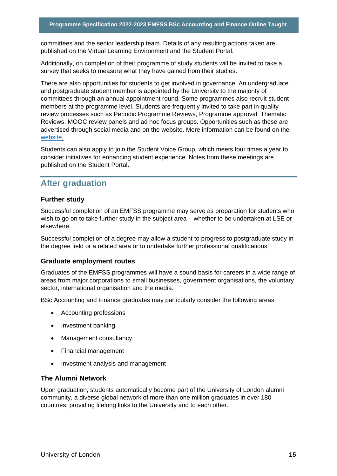committees and the senior leadership team. Details of any resulting actions taken are published on the Virtual Learning Environment and the Student Portal.

Additionally, on completion of their programme of study students will be invited to take a survey that seeks to measure what they have gained from their studies.

There are also opportunities for students to get involved in governance. An undergraduate and postgraduate student member is appointed by the University to the majority of committees through an annual appointment round. Some programmes also recruit student members at the programme level. Students are frequently invited to take part in quality review processes such as Periodic Programme Reviews, Programme approval, Thematic Reviews, MOOC review panels and ad hoc focus groups. Opportunities such as these are advertised through social media and on the website. More information can be found on the website.

Students can also apply to join the Student Voice Group, which meets four times a year to consider initiatives for enhancing student experience. Notes from these meetings are published on the Student Portal.

#### <span id="page-15-0"></span>**After graduation**

#### **Further study**

Successful completion of an EMFSS programme may serve as preparation for students who wish to go on to take further study in the subject area – whether to be undertaken at LSE or elsewhere.

Successful completion of a degree may allow a student to progress to postgraduate study in the degree field or a related area or to undertake further professional qualifications.

#### **Graduate employment routes**

Graduates of the EMFSS programmes will have a sound basis for careers in a wide range of areas from major corporations to small businesses, government organisations, the voluntary sector, international organisation and the media.

BSc Accounting and Finance graduates may particularly consider the following areas:

- Accounting professions
- Investment banking
- Management consultancy
- Financial management
- Investment analysis and management

#### **The Alumni Network**

Upon graduation, students automatically become part of the University of London alumni community, a diverse global network of more than one million graduates in over 180 countries, providing lifelong links to the University and to each other.